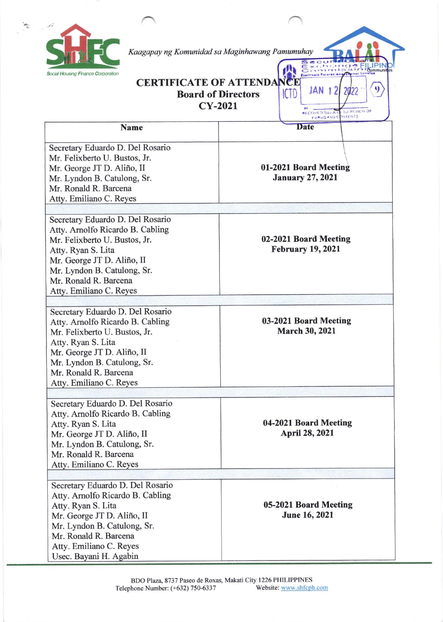

 $\mathcal{L}$  .

Kaagapay ng Komunidad sa Maginhawang Pamumuhay

## I **CERTIFICATE OF ATTENDA** CE Board of Directors ICTD cY-2021

RECEIVED SUSJE

JAN

Exchanger

?

TU REVIEW OF

tPl

 $\mathbf{Q}$ 

| <b>Name</b>                                                                                                                                                                                                                                  | <b>Date</b>                                       |
|----------------------------------------------------------------------------------------------------------------------------------------------------------------------------------------------------------------------------------------------|---------------------------------------------------|
| Secretary Eduardo D. Del Rosario<br>Mr. Felixberto U. Bustos, Jr.<br>Mr. George JT D. Aliño, II<br>Mr. Lyndon B. Catulong, Sr.<br>Mr. Ronald R. Barcena<br>Atty. Emiliano C. Reyes                                                           | 01-2021 Board Meeting<br><b>January 27, 2021</b>  |
|                                                                                                                                                                                                                                              |                                                   |
| Secretary Eduardo D. Del Rosario<br>Atty. Arnolfo Ricardo B. Cabling<br>Mr. Felixberto U. Bustos, Jr.<br>Atty. Ryan S. Lita<br>Mr. George JT D. Aliño, II<br>Mr. Lyndon B. Catulong, Sr.<br>Mr. Ronald R. Barcena<br>Atty. Emiliano C. Reyes | 02-2021 Board Meeting<br><b>February 19, 2021</b> |
|                                                                                                                                                                                                                                              |                                                   |
| Secretary Eduardo D. Del Rosario<br>Atty. Arnolfo Ricardo B. Cabling<br>Mr. Felixberto U. Bustos, Jr.<br>Atty. Ryan S. Lita<br>Mr. George JT D. Aliño, II<br>Mr. Lyndon B. Catulong, Sr.<br>Mr. Ronald R. Barcena<br>Atty. Emiliano C. Reyes | 03-2021 Board Meeting<br><b>March 30, 2021</b>    |
|                                                                                                                                                                                                                                              |                                                   |
| Secretary Eduardo D. Del Rosario<br>Atty. Arnolfo Ricardo B. Cabling<br>Atty. Ryan S. Lita<br>Mr. George JT D. Aliño, II<br>Mr. Lyndon B. Catulong, Sr.<br>Mr. Ronald R. Barcena<br>Atty. Emiliano C. Reyes                                  | 04-2021 Board Meeting<br><b>April 28, 2021</b>    |
|                                                                                                                                                                                                                                              |                                                   |
| Secretary Eduardo D. Del Rosario<br>Atty. Arnolfo Ricardo B. Cabling<br>Atty. Ryan S. Lita<br>Mr. George JT D. Aliño, II<br>Mr. Lyndon B. Catulong, Sr.<br>Mr. Ronald R. Barcena<br>Atty. Emiliano C. Reyes<br>Usec. Bayani H. Agabin        | 05-2021 Board Meeting<br>June 16, 2021            |